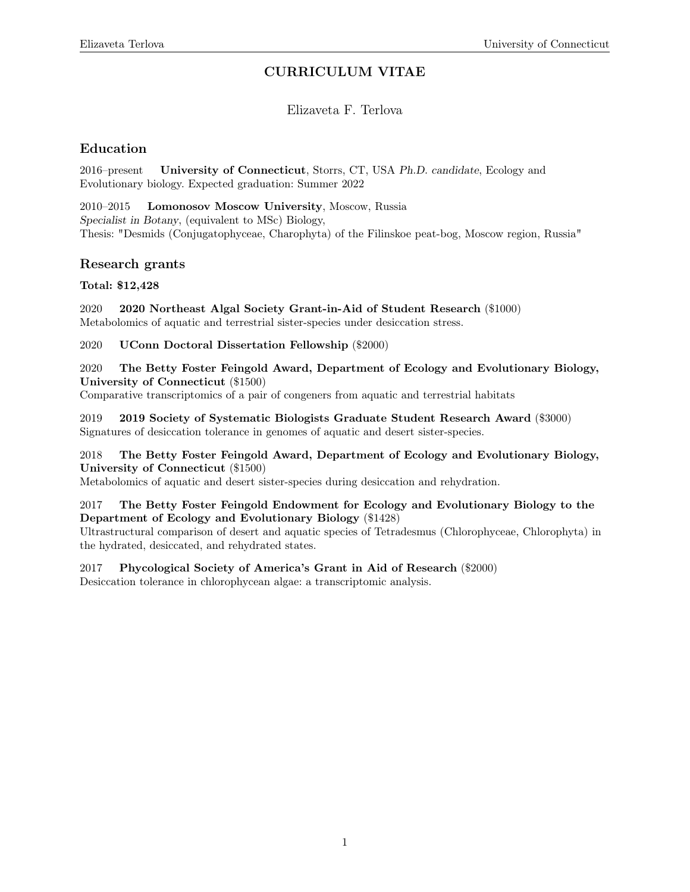# CURRICULUM VITAE

## Elizaveta F. Terlova

## Education

2016–present University of Connecticut, Storrs, CT, USA Ph.D. candidate, Ecology and Evolutionary biology. Expected graduation: Summer 2022

2010–2015 Lomonosov Moscow University, Moscow, Russia Specialist in Botany, (equivalent to MSc) Biology, Thesis: "Desmids (Conjugatophyceae, Charophyta) of the Filinskoe peat-bog, Moscow region, Russia"

### Research grants

### Total: \$12,428

2020 2020 Northeast Algal Society Grant-in-Aid of Student Research (\$1000) Metabolomics of aquatic and terrestrial sister-species under desiccation stress.

2020 UConn Doctoral Dissertation Fellowship (\$2000)

2020 The Betty Foster Feingold Award, Department of Ecology and Evolutionary Biology, University of Connecticut (\$1500)

Comparative transcriptomics of a pair of congeners from aquatic and terrestrial habitats

2019 2019 Society of Systematic Biologists Graduate Student Research Award (\$3000) Signatures of desiccation tolerance in genomes of aquatic and desert sister-species.

#### 2018 The Betty Foster Feingold Award, Department of Ecology and Evolutionary Biology, University of Connecticut (\$1500)

Metabolomics of aquatic and desert sister-species during desiccation and rehydration.

#### 2017 The Betty Foster Feingold Endowment for Ecology and Evolutionary Biology to the Department of Ecology and Evolutionary Biology (\$1428)

Ultrastructural comparison of desert and aquatic species of Tetradesmus (Chlorophyceae, Chlorophyta) in the hydrated, desiccated, and rehydrated states.

### 2017 Phycological Society of America's Grant in Aid of Research (\$2000)

Desiccation tolerance in chlorophycean algae: a transcriptomic analysis.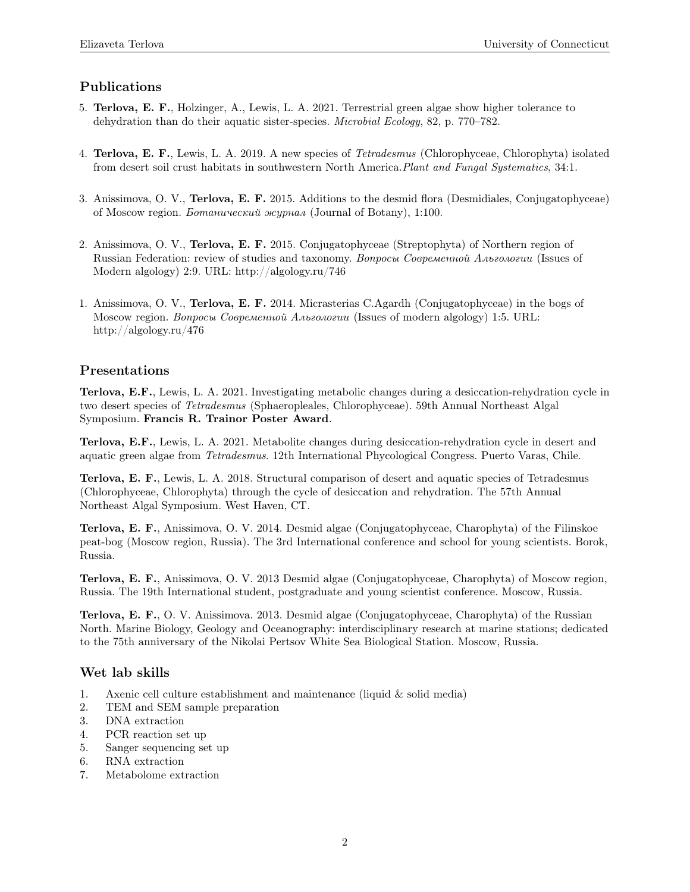## Publications

- 5. Terlova, E. F., Holzinger, A., Lewis, L. A. 2021. Terrestrial green algae show higher tolerance to dehydration than do their aquatic sister-species. Microbial Ecology, 82, p. 770–782.
- 4. Terlova, E. F., Lewis, L. A. 2019. A new species of Tetradesmus (Chlorophyceae, Chlorophyta) isolated from desert soil crust habitats in southwestern North America.Plant and Fungal Systematics, 34:1.
- 3. Anissimova, O. V., Terlova, E. F. 2015. Additions to the desmid flora (Desmidiales, Conjugatophyceae) of Moscow region. Ботанический журнал (Journal of Botany), 1:100.
- 2. Anissimova, O. V., Terlova, E. F. 2015. Conjugatophyceae (Streptophyta) of Northern region of Russian Federation: review of studies and taxonomy. Вопросы Современной Альгологии (Issues of Modern algology) 2:9. URL: http://algology.ru/746
- 1. Anissimova, O. V., Terlova, E. F. 2014. Micrasterias C.Agardh (Conjugatophyceae) in the bogs of Moscow region. Вопросы Современной Альгологии (Issues of modern algology) 1:5. URL: http://algology.ru/476

### Presentations

Terlova, E.F., Lewis, L. A. 2021. Investigating metabolic changes during a desiccation-rehydration cycle in two desert species of Tetradesmus (Sphaeropleales, Chlorophyceae). 59th Annual Northeast Algal Symposium. Francis R. Trainor Poster Award.

Terlova, E.F., Lewis, L. A. 2021. Metabolite changes during desiccation-rehydration cycle in desert and aquatic green algae from Tetradesmus. 12th International Phycological Congress. Puerto Varas, Chile.

Terlova, E. F., Lewis, L. A. 2018. Structural comparison of desert and aquatic species of Tetradesmus (Chlorophyceae, Chlorophyta) through the cycle of desiccation and rehydration. The 57th Annual Northeast Algal Symposium. West Haven, CT.

Terlova, E. F., Anissimova, O. V. 2014. Desmid algae (Conjugatophyceae, Charophyta) of the Filinskoe peat-bog (Moscow region, Russia). The 3rd International conference and school for young scientists. Borok, Russia.

Terlova, E. F., Anissimova, O. V. 2013 Desmid algae (Conjugatophyceae, Charophyta) of Moscow region, Russia. The 19th International student, postgraduate and young scientist conference. Moscow, Russia.

Terlova, E. F., O. V. Anissimova. 2013. Desmid algae (Conjugatophyceae, Charophyta) of the Russian North. Marine Biology, Geology and Oceanography: interdisciplinary research at marine stations; dedicated to the 75th anniversary of the Nikolai Pertsov White Sea Biological Station. Moscow, Russia.

## Wet lab skills

- 1. Axenic cell culture establishment and maintenance (liquid  $&$  solid media)
- 2. TEM and SEM sample preparation
- 3. DNA extraction
- 4. PCR reaction set up
- 5. Sanger sequencing set up
- 6. RNA extraction
- 7. Metabolome extraction